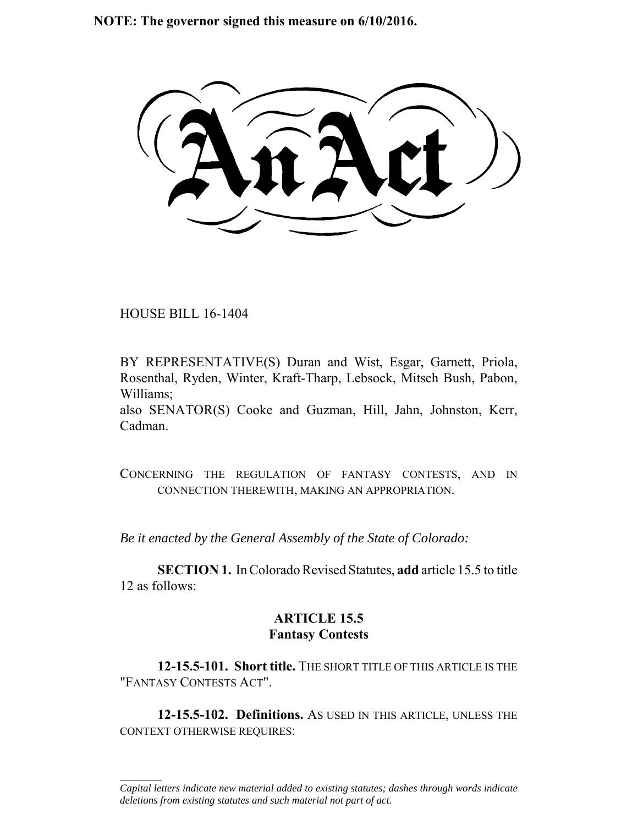**NOTE: The governor signed this measure on 6/10/2016.**

HOUSE BILL 16-1404

 $\frac{1}{2}$ 

BY REPRESENTATIVE(S) Duran and Wist, Esgar, Garnett, Priola, Rosenthal, Ryden, Winter, Kraft-Tharp, Lebsock, Mitsch Bush, Pabon, Williams;

also SENATOR(S) Cooke and Guzman, Hill, Jahn, Johnston, Kerr, Cadman.

CONCERNING THE REGULATION OF FANTASY CONTESTS, AND IN CONNECTION THEREWITH, MAKING AN APPROPRIATION.

*Be it enacted by the General Assembly of the State of Colorado:*

**SECTION 1.** In Colorado Revised Statutes, **add** article 15.5 to title 12 as follows:

# **ARTICLE 15.5 Fantasy Contests**

**12-15.5-101. Short title.** THE SHORT TITLE OF THIS ARTICLE IS THE "FANTASY CONTESTS ACT".

**12-15.5-102. Definitions.** AS USED IN THIS ARTICLE, UNLESS THE CONTEXT OTHERWISE REQUIRES:

*Capital letters indicate new material added to existing statutes; dashes through words indicate deletions from existing statutes and such material not part of act.*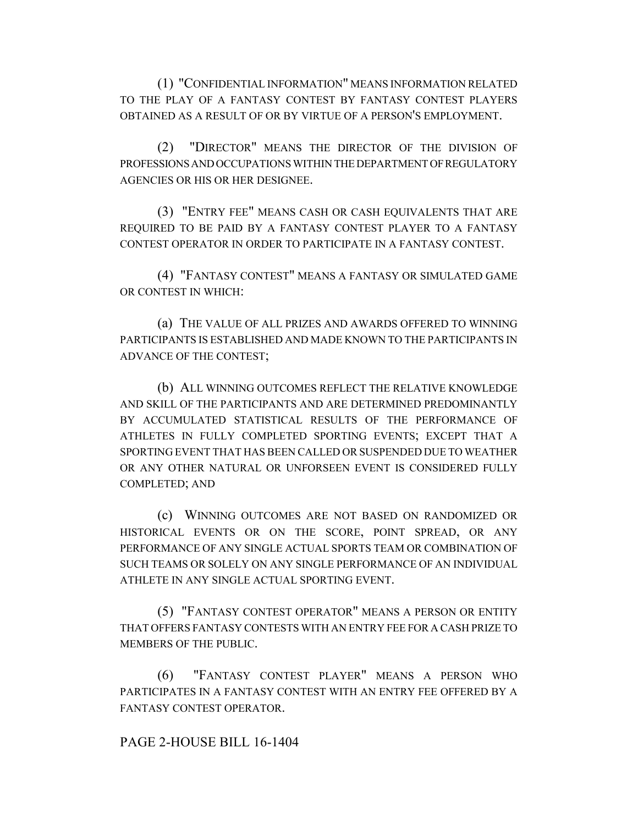(1) "CONFIDENTIAL INFORMATION" MEANS INFORMATION RELATED TO THE PLAY OF A FANTASY CONTEST BY FANTASY CONTEST PLAYERS OBTAINED AS A RESULT OF OR BY VIRTUE OF A PERSON'S EMPLOYMENT.

(2) "DIRECTOR" MEANS THE DIRECTOR OF THE DIVISION OF PROFESSIONS AND OCCUPATIONS WITHIN THE DEPARTMENT OF REGULATORY AGENCIES OR HIS OR HER DESIGNEE.

(3) "ENTRY FEE" MEANS CASH OR CASH EQUIVALENTS THAT ARE REQUIRED TO BE PAID BY A FANTASY CONTEST PLAYER TO A FANTASY CONTEST OPERATOR IN ORDER TO PARTICIPATE IN A FANTASY CONTEST.

(4) "FANTASY CONTEST" MEANS A FANTASY OR SIMULATED GAME OR CONTEST IN WHICH:

(a) THE VALUE OF ALL PRIZES AND AWARDS OFFERED TO WINNING PARTICIPANTS IS ESTABLISHED AND MADE KNOWN TO THE PARTICIPANTS IN ADVANCE OF THE CONTEST;

(b) ALL WINNING OUTCOMES REFLECT THE RELATIVE KNOWLEDGE AND SKILL OF THE PARTICIPANTS AND ARE DETERMINED PREDOMINANTLY BY ACCUMULATED STATISTICAL RESULTS OF THE PERFORMANCE OF ATHLETES IN FULLY COMPLETED SPORTING EVENTS; EXCEPT THAT A SPORTING EVENT THAT HAS BEEN CALLED OR SUSPENDED DUE TO WEATHER OR ANY OTHER NATURAL OR UNFORSEEN EVENT IS CONSIDERED FULLY COMPLETED; AND

(c) WINNING OUTCOMES ARE NOT BASED ON RANDOMIZED OR HISTORICAL EVENTS OR ON THE SCORE, POINT SPREAD, OR ANY PERFORMANCE OF ANY SINGLE ACTUAL SPORTS TEAM OR COMBINATION OF SUCH TEAMS OR SOLELY ON ANY SINGLE PERFORMANCE OF AN INDIVIDUAL ATHLETE IN ANY SINGLE ACTUAL SPORTING EVENT.

(5) "FANTASY CONTEST OPERATOR" MEANS A PERSON OR ENTITY THAT OFFERS FANTASY CONTESTS WITH AN ENTRY FEE FOR A CASH PRIZE TO MEMBERS OF THE PUBLIC.

(6) "FANTASY CONTEST PLAYER" MEANS A PERSON WHO PARTICIPATES IN A FANTASY CONTEST WITH AN ENTRY FEE OFFERED BY A FANTASY CONTEST OPERATOR.

### PAGE 2-HOUSE BILL 16-1404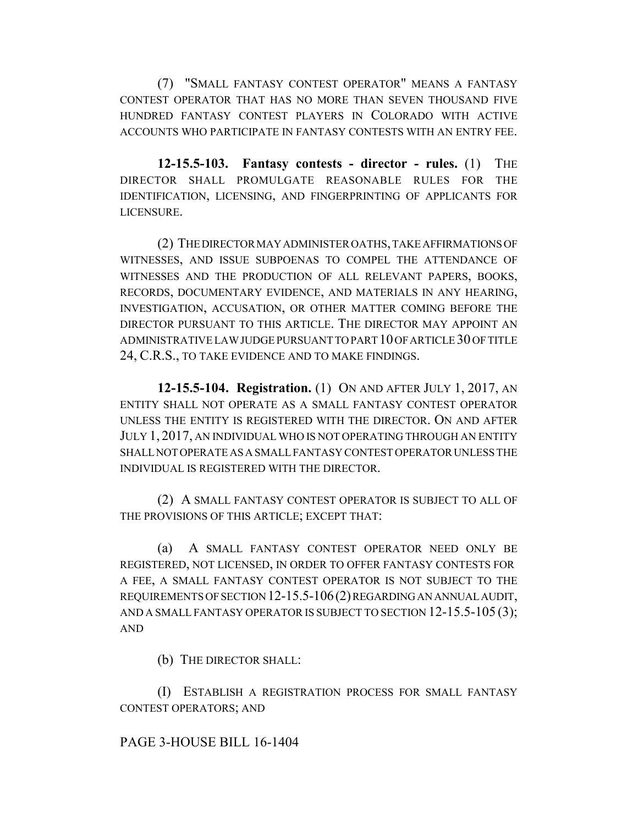(7) "SMALL FANTASY CONTEST OPERATOR" MEANS A FANTASY CONTEST OPERATOR THAT HAS NO MORE THAN SEVEN THOUSAND FIVE HUNDRED FANTASY CONTEST PLAYERS IN COLORADO WITH ACTIVE ACCOUNTS WHO PARTICIPATE IN FANTASY CONTESTS WITH AN ENTRY FEE.

**12-15.5-103. Fantasy contests - director - rules.** (1) THE DIRECTOR SHALL PROMULGATE REASONABLE RULES FOR THE IDENTIFICATION, LICENSING, AND FINGERPRINTING OF APPLICANTS FOR LICENSURE.

(2) THE DIRECTOR MAY ADMINISTER OATHS, TAKE AFFIRMATIONS OF WITNESSES, AND ISSUE SUBPOENAS TO COMPEL THE ATTENDANCE OF WITNESSES AND THE PRODUCTION OF ALL RELEVANT PAPERS, BOOKS, RECORDS, DOCUMENTARY EVIDENCE, AND MATERIALS IN ANY HEARING, INVESTIGATION, ACCUSATION, OR OTHER MATTER COMING BEFORE THE DIRECTOR PURSUANT TO THIS ARTICLE. THE DIRECTOR MAY APPOINT AN ADMINISTRATIVE LAW JUDGE PURSUANT TO PART 10 OF ARTICLE 30 OF TITLE 24, C.R.S., TO TAKE EVIDENCE AND TO MAKE FINDINGS.

**12-15.5-104. Registration.** (1) ON AND AFTER JULY 1, 2017, AN ENTITY SHALL NOT OPERATE AS A SMALL FANTASY CONTEST OPERATOR UNLESS THE ENTITY IS REGISTERED WITH THE DIRECTOR. ON AND AFTER JULY 1, 2017, AN INDIVIDUAL WHO IS NOT OPERATING THROUGH AN ENTITY SHALL NOT OPERATE AS A SMALL FANTASY CONTEST OPERATOR UNLESS THE INDIVIDUAL IS REGISTERED WITH THE DIRECTOR.

(2) A SMALL FANTASY CONTEST OPERATOR IS SUBJECT TO ALL OF THE PROVISIONS OF THIS ARTICLE; EXCEPT THAT:

(a) A SMALL FANTASY CONTEST OPERATOR NEED ONLY BE REGISTERED, NOT LICENSED, IN ORDER TO OFFER FANTASY CONTESTS FOR A FEE, A SMALL FANTASY CONTEST OPERATOR IS NOT SUBJECT TO THE REQUIREMENTS OF SECTION 12-15.5-106(2) REGARDING AN ANNUAL AUDIT, AND A SMALL FANTASY OPERATOR IS SUBJECT TO SECTION 12-15.5-105 (3); AND

(b) THE DIRECTOR SHALL:

(I) ESTABLISH A REGISTRATION PROCESS FOR SMALL FANTASY CONTEST OPERATORS; AND

# PAGE 3-HOUSE BILL 16-1404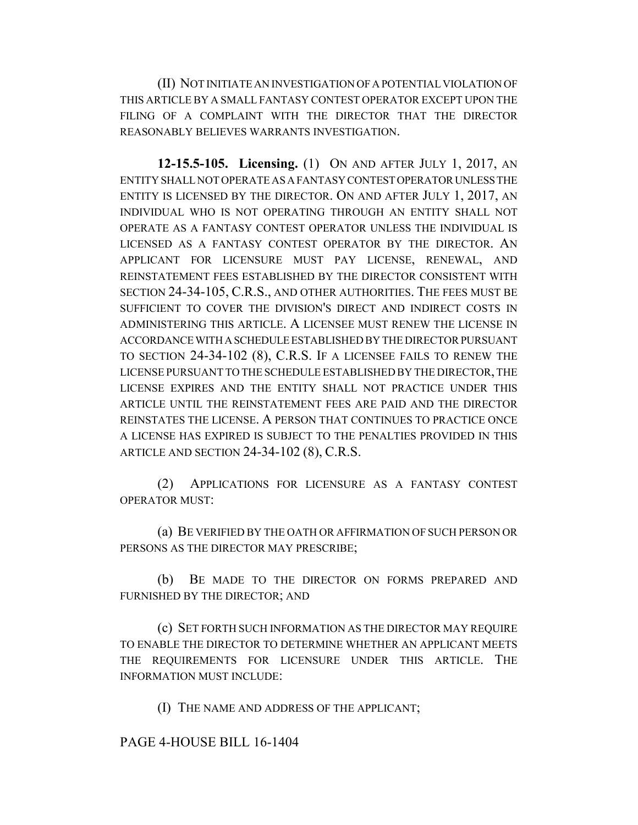(II) NOT INITIATE AN INVESTIGATION OF A POTENTIAL VIOLATION OF THIS ARTICLE BY A SMALL FANTASY CONTEST OPERATOR EXCEPT UPON THE FILING OF A COMPLAINT WITH THE DIRECTOR THAT THE DIRECTOR REASONABLY BELIEVES WARRANTS INVESTIGATION.

**12-15.5-105. Licensing.** (1) ON AND AFTER JULY 1, 2017, AN ENTITY SHALL NOT OPERATE AS A FANTASY CONTEST OPERATOR UNLESS THE ENTITY IS LICENSED BY THE DIRECTOR. ON AND AFTER JULY 1, 2017, AN INDIVIDUAL WHO IS NOT OPERATING THROUGH AN ENTITY SHALL NOT OPERATE AS A FANTASY CONTEST OPERATOR UNLESS THE INDIVIDUAL IS LICENSED AS A FANTASY CONTEST OPERATOR BY THE DIRECTOR. AN APPLICANT FOR LICENSURE MUST PAY LICENSE, RENEWAL, AND REINSTATEMENT FEES ESTABLISHED BY THE DIRECTOR CONSISTENT WITH SECTION 24-34-105, C.R.S., AND OTHER AUTHORITIES. THE FEES MUST BE SUFFICIENT TO COVER THE DIVISION'S DIRECT AND INDIRECT COSTS IN ADMINISTERING THIS ARTICLE. A LICENSEE MUST RENEW THE LICENSE IN ACCORDANCE WITH A SCHEDULE ESTABLISHED BY THE DIRECTOR PURSUANT TO SECTION 24-34-102 (8), C.R.S. IF A LICENSEE FAILS TO RENEW THE LICENSE PURSUANT TO THE SCHEDULE ESTABLISHED BY THE DIRECTOR, THE LICENSE EXPIRES AND THE ENTITY SHALL NOT PRACTICE UNDER THIS ARTICLE UNTIL THE REINSTATEMENT FEES ARE PAID AND THE DIRECTOR REINSTATES THE LICENSE. A PERSON THAT CONTINUES TO PRACTICE ONCE A LICENSE HAS EXPIRED IS SUBJECT TO THE PENALTIES PROVIDED IN THIS ARTICLE AND SECTION 24-34-102 (8), C.R.S.

(2) APPLICATIONS FOR LICENSURE AS A FANTASY CONTEST OPERATOR MUST:

(a) BE VERIFIED BY THE OATH OR AFFIRMATION OF SUCH PERSON OR PERSONS AS THE DIRECTOR MAY PRESCRIBE;

(b) BE MADE TO THE DIRECTOR ON FORMS PREPARED AND FURNISHED BY THE DIRECTOR; AND

(c) SET FORTH SUCH INFORMATION AS THE DIRECTOR MAY REQUIRE TO ENABLE THE DIRECTOR TO DETERMINE WHETHER AN APPLICANT MEETS THE REQUIREMENTS FOR LICENSURE UNDER THIS ARTICLE. THE INFORMATION MUST INCLUDE:

(I) THE NAME AND ADDRESS OF THE APPLICANT;

PAGE 4-HOUSE BILL 16-1404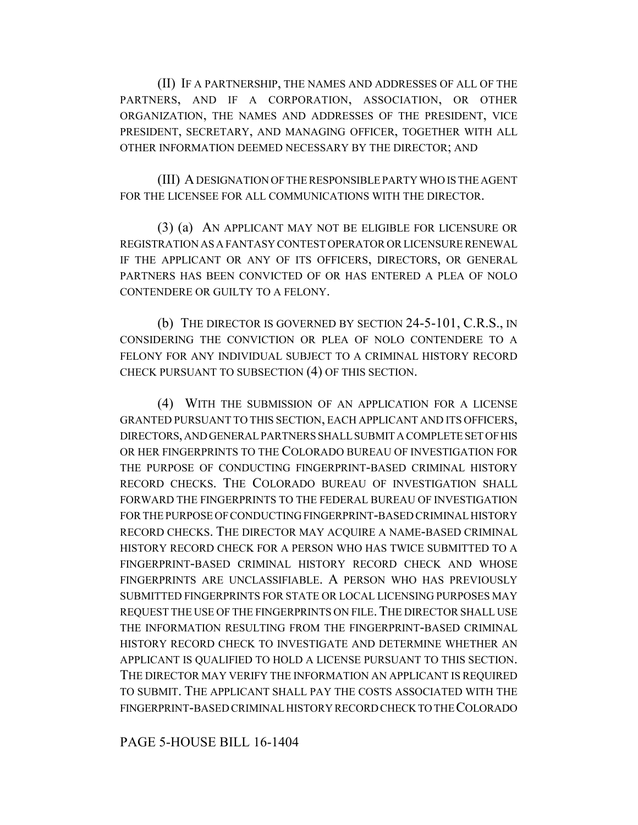(II) IF A PARTNERSHIP, THE NAMES AND ADDRESSES OF ALL OF THE PARTNERS, AND IF A CORPORATION, ASSOCIATION, OR OTHER ORGANIZATION, THE NAMES AND ADDRESSES OF THE PRESIDENT, VICE PRESIDENT, SECRETARY, AND MANAGING OFFICER, TOGETHER WITH ALL OTHER INFORMATION DEEMED NECESSARY BY THE DIRECTOR; AND

(III) A DESIGNATION OF THE RESPONSIBLE PARTY WHO IS THE AGENT FOR THE LICENSEE FOR ALL COMMUNICATIONS WITH THE DIRECTOR.

(3) (a) AN APPLICANT MAY NOT BE ELIGIBLE FOR LICENSURE OR REGISTRATION AS A FANTASY CONTEST OPERATOR OR LICENSURE RENEWAL IF THE APPLICANT OR ANY OF ITS OFFICERS, DIRECTORS, OR GENERAL PARTNERS HAS BEEN CONVICTED OF OR HAS ENTERED A PLEA OF NOLO CONTENDERE OR GUILTY TO A FELONY.

(b) THE DIRECTOR IS GOVERNED BY SECTION 24-5-101, C.R.S., IN CONSIDERING THE CONVICTION OR PLEA OF NOLO CONTENDERE TO A FELONY FOR ANY INDIVIDUAL SUBJECT TO A CRIMINAL HISTORY RECORD CHECK PURSUANT TO SUBSECTION (4) OF THIS SECTION.

(4) WITH THE SUBMISSION OF AN APPLICATION FOR A LICENSE GRANTED PURSUANT TO THIS SECTION, EACH APPLICANT AND ITS OFFICERS, DIRECTORS, AND GENERAL PARTNERS SHALL SUBMIT A COMPLETE SET OF HIS OR HER FINGERPRINTS TO THE COLORADO BUREAU OF INVESTIGATION FOR THE PURPOSE OF CONDUCTING FINGERPRINT-BASED CRIMINAL HISTORY RECORD CHECKS. THE COLORADO BUREAU OF INVESTIGATION SHALL FORWARD THE FINGERPRINTS TO THE FEDERAL BUREAU OF INVESTIGATION FOR THE PURPOSE OF CONDUCTING FINGERPRINT-BASED CRIMINAL HISTORY RECORD CHECKS. THE DIRECTOR MAY ACQUIRE A NAME-BASED CRIMINAL HISTORY RECORD CHECK FOR A PERSON WHO HAS TWICE SUBMITTED TO A FINGERPRINT-BASED CRIMINAL HISTORY RECORD CHECK AND WHOSE FINGERPRINTS ARE UNCLASSIFIABLE. A PERSON WHO HAS PREVIOUSLY SUBMITTED FINGERPRINTS FOR STATE OR LOCAL LICENSING PURPOSES MAY REQUEST THE USE OF THE FINGERPRINTS ON FILE.THE DIRECTOR SHALL USE THE INFORMATION RESULTING FROM THE FINGERPRINT-BASED CRIMINAL HISTORY RECORD CHECK TO INVESTIGATE AND DETERMINE WHETHER AN APPLICANT IS QUALIFIED TO HOLD A LICENSE PURSUANT TO THIS SECTION. THE DIRECTOR MAY VERIFY THE INFORMATION AN APPLICANT IS REQUIRED TO SUBMIT. THE APPLICANT SHALL PAY THE COSTS ASSOCIATED WITH THE FINGERPRINT-BASED CRIMINAL HISTORY RECORD CHECK TO THE COLORADO

PAGE 5-HOUSE BILL 16-1404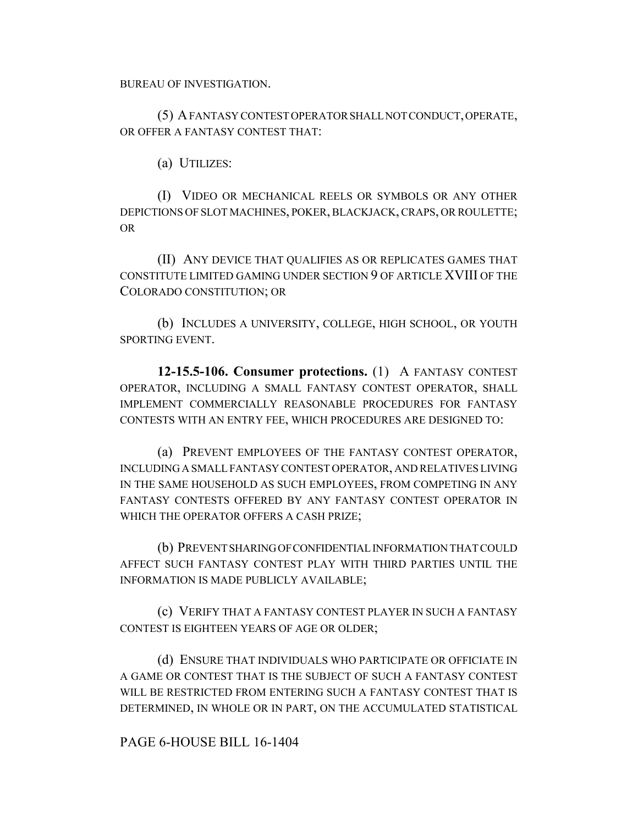BUREAU OF INVESTIGATION.

(5) A FANTASY CONTEST OPERATOR SHALL NOT CONDUCT, OPERATE, OR OFFER A FANTASY CONTEST THAT:

(a) UTILIZES:

(I) VIDEO OR MECHANICAL REELS OR SYMBOLS OR ANY OTHER DEPICTIONS OF SLOT MACHINES, POKER, BLACKJACK, CRAPS, OR ROULETTE; OR

(II) ANY DEVICE THAT QUALIFIES AS OR REPLICATES GAMES THAT CONSTITUTE LIMITED GAMING UNDER SECTION 9 OF ARTICLE XVIII OF THE COLORADO CONSTITUTION; OR

(b) INCLUDES A UNIVERSITY, COLLEGE, HIGH SCHOOL, OR YOUTH SPORTING EVENT.

**12-15.5-106. Consumer protections.** (1) A FANTASY CONTEST OPERATOR, INCLUDING A SMALL FANTASY CONTEST OPERATOR, SHALL IMPLEMENT COMMERCIALLY REASONABLE PROCEDURES FOR FANTASY CONTESTS WITH AN ENTRY FEE, WHICH PROCEDURES ARE DESIGNED TO:

(a) PREVENT EMPLOYEES OF THE FANTASY CONTEST OPERATOR, INCLUDING A SMALL FANTASY CONTEST OPERATOR, AND RELATIVES LIVING IN THE SAME HOUSEHOLD AS SUCH EMPLOYEES, FROM COMPETING IN ANY FANTASY CONTESTS OFFERED BY ANY FANTASY CONTEST OPERATOR IN WHICH THE OPERATOR OFFERS A CASH PRIZE;

(b) PREVENT SHARING OF CONFIDENTIAL INFORMATION THAT COULD AFFECT SUCH FANTASY CONTEST PLAY WITH THIRD PARTIES UNTIL THE INFORMATION IS MADE PUBLICLY AVAILABLE;

(c) VERIFY THAT A FANTASY CONTEST PLAYER IN SUCH A FANTASY CONTEST IS EIGHTEEN YEARS OF AGE OR OLDER;

(d) ENSURE THAT INDIVIDUALS WHO PARTICIPATE OR OFFICIATE IN A GAME OR CONTEST THAT IS THE SUBJECT OF SUCH A FANTASY CONTEST WILL BE RESTRICTED FROM ENTERING SUCH A FANTASY CONTEST THAT IS DETERMINED, IN WHOLE OR IN PART, ON THE ACCUMULATED STATISTICAL

# PAGE 6-HOUSE BILL 16-1404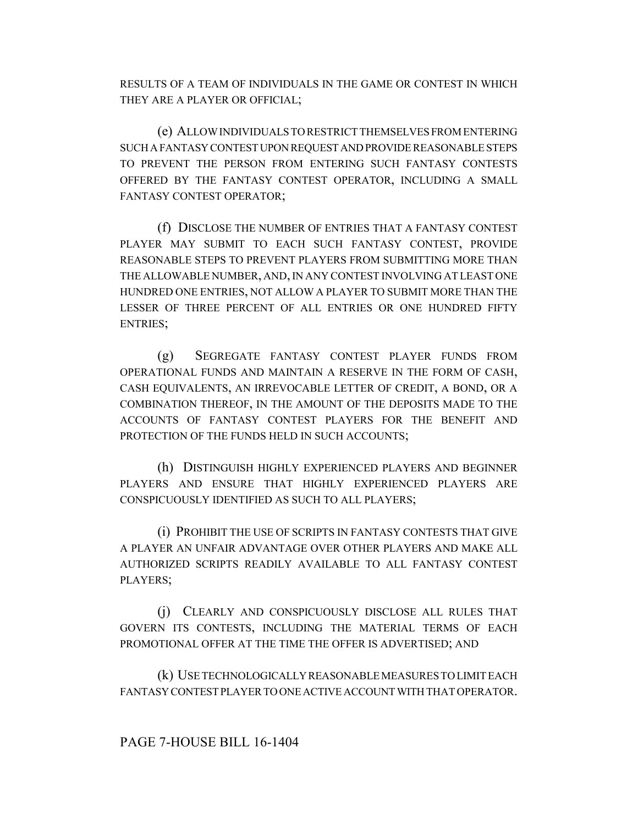RESULTS OF A TEAM OF INDIVIDUALS IN THE GAME OR CONTEST IN WHICH THEY ARE A PLAYER OR OFFICIAL;

(e) ALLOW INDIVIDUALS TO RESTRICT THEMSELVES FROM ENTERING SUCH A FANTASY CONTEST UPON REQUEST AND PROVIDE REASONABLE STEPS TO PREVENT THE PERSON FROM ENTERING SUCH FANTASY CONTESTS OFFERED BY THE FANTASY CONTEST OPERATOR, INCLUDING A SMALL FANTASY CONTEST OPERATOR;

(f) DISCLOSE THE NUMBER OF ENTRIES THAT A FANTASY CONTEST PLAYER MAY SUBMIT TO EACH SUCH FANTASY CONTEST, PROVIDE REASONABLE STEPS TO PREVENT PLAYERS FROM SUBMITTING MORE THAN THE ALLOWABLE NUMBER, AND, IN ANY CONTEST INVOLVING AT LEAST ONE HUNDRED ONE ENTRIES, NOT ALLOW A PLAYER TO SUBMIT MORE THAN THE LESSER OF THREE PERCENT OF ALL ENTRIES OR ONE HUNDRED FIFTY ENTRIES;

(g) SEGREGATE FANTASY CONTEST PLAYER FUNDS FROM OPERATIONAL FUNDS AND MAINTAIN A RESERVE IN THE FORM OF CASH, CASH EQUIVALENTS, AN IRREVOCABLE LETTER OF CREDIT, A BOND, OR A COMBINATION THEREOF, IN THE AMOUNT OF THE DEPOSITS MADE TO THE ACCOUNTS OF FANTASY CONTEST PLAYERS FOR THE BENEFIT AND PROTECTION OF THE FUNDS HELD IN SUCH ACCOUNTS;

(h) DISTINGUISH HIGHLY EXPERIENCED PLAYERS AND BEGINNER PLAYERS AND ENSURE THAT HIGHLY EXPERIENCED PLAYERS ARE CONSPICUOUSLY IDENTIFIED AS SUCH TO ALL PLAYERS;

(i) PROHIBIT THE USE OF SCRIPTS IN FANTASY CONTESTS THAT GIVE A PLAYER AN UNFAIR ADVANTAGE OVER OTHER PLAYERS AND MAKE ALL AUTHORIZED SCRIPTS READILY AVAILABLE TO ALL FANTASY CONTEST PLAYERS;

(j) CLEARLY AND CONSPICUOUSLY DISCLOSE ALL RULES THAT GOVERN ITS CONTESTS, INCLUDING THE MATERIAL TERMS OF EACH PROMOTIONAL OFFER AT THE TIME THE OFFER IS ADVERTISED; AND

(k) USE TECHNOLOGICALLY REASONABLE MEASURES TO LIMIT EACH FANTASY CONTEST PLAYER TO ONE ACTIVE ACCOUNT WITH THAT OPERATOR.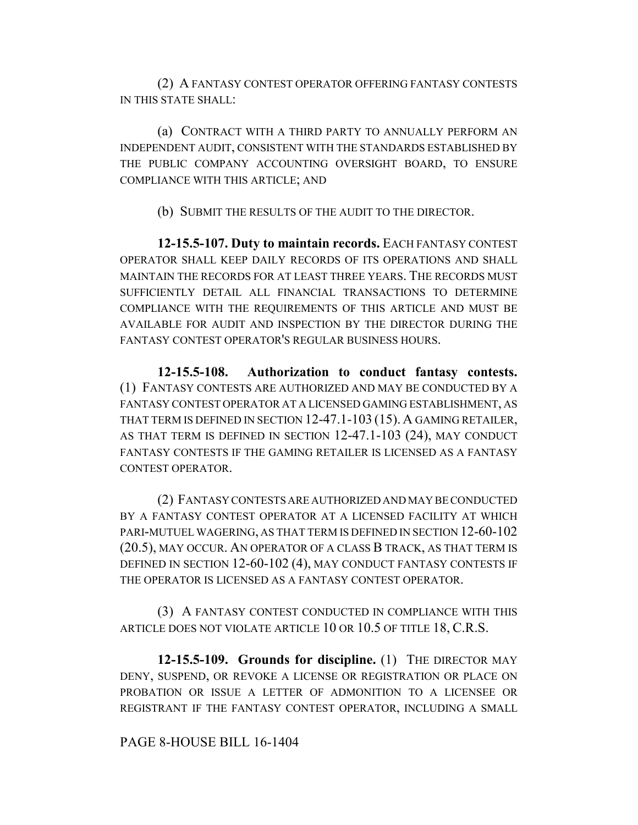(2) A FANTASY CONTEST OPERATOR OFFERING FANTASY CONTESTS IN THIS STATE SHALL:

(a) CONTRACT WITH A THIRD PARTY TO ANNUALLY PERFORM AN INDEPENDENT AUDIT, CONSISTENT WITH THE STANDARDS ESTABLISHED BY THE PUBLIC COMPANY ACCOUNTING OVERSIGHT BOARD, TO ENSURE COMPLIANCE WITH THIS ARTICLE; AND

(b) SUBMIT THE RESULTS OF THE AUDIT TO THE DIRECTOR.

**12-15.5-107. Duty to maintain records.** EACH FANTASY CONTEST OPERATOR SHALL KEEP DAILY RECORDS OF ITS OPERATIONS AND SHALL MAINTAIN THE RECORDS FOR AT LEAST THREE YEARS. THE RECORDS MUST SUFFICIENTLY DETAIL ALL FINANCIAL TRANSACTIONS TO DETERMINE COMPLIANCE WITH THE REQUIREMENTS OF THIS ARTICLE AND MUST BE AVAILABLE FOR AUDIT AND INSPECTION BY THE DIRECTOR DURING THE FANTASY CONTEST OPERATOR'S REGULAR BUSINESS HOURS.

**12-15.5-108. Authorization to conduct fantasy contests.** (1) FANTASY CONTESTS ARE AUTHORIZED AND MAY BE CONDUCTED BY A FANTASY CONTEST OPERATOR AT A LICENSED GAMING ESTABLISHMENT, AS THAT TERM IS DEFINED IN SECTION 12-47.1-103 (15). A GAMING RETAILER, AS THAT TERM IS DEFINED IN SECTION 12-47.1-103 (24), MAY CONDUCT FANTASY CONTESTS IF THE GAMING RETAILER IS LICENSED AS A FANTASY CONTEST OPERATOR.

(2) FANTASY CONTESTS ARE AUTHORIZED AND MAY BE CONDUCTED BY A FANTASY CONTEST OPERATOR AT A LICENSED FACILITY AT WHICH PARI-MUTUEL WAGERING, AS THAT TERM IS DEFINED IN SECTION 12-60-102 (20.5), MAY OCCUR. AN OPERATOR OF A CLASS B TRACK, AS THAT TERM IS DEFINED IN SECTION 12-60-102 (4), MAY CONDUCT FANTASY CONTESTS IF THE OPERATOR IS LICENSED AS A FANTASY CONTEST OPERATOR.

(3) A FANTASY CONTEST CONDUCTED IN COMPLIANCE WITH THIS ARTICLE DOES NOT VIOLATE ARTICLE 10 OR 10.5 OF TITLE 18, C.R.S.

**12-15.5-109. Grounds for discipline.** (1) THE DIRECTOR MAY DENY, SUSPEND, OR REVOKE A LICENSE OR REGISTRATION OR PLACE ON PROBATION OR ISSUE A LETTER OF ADMONITION TO A LICENSEE OR REGISTRANT IF THE FANTASY CONTEST OPERATOR, INCLUDING A SMALL

### PAGE 8-HOUSE BILL 16-1404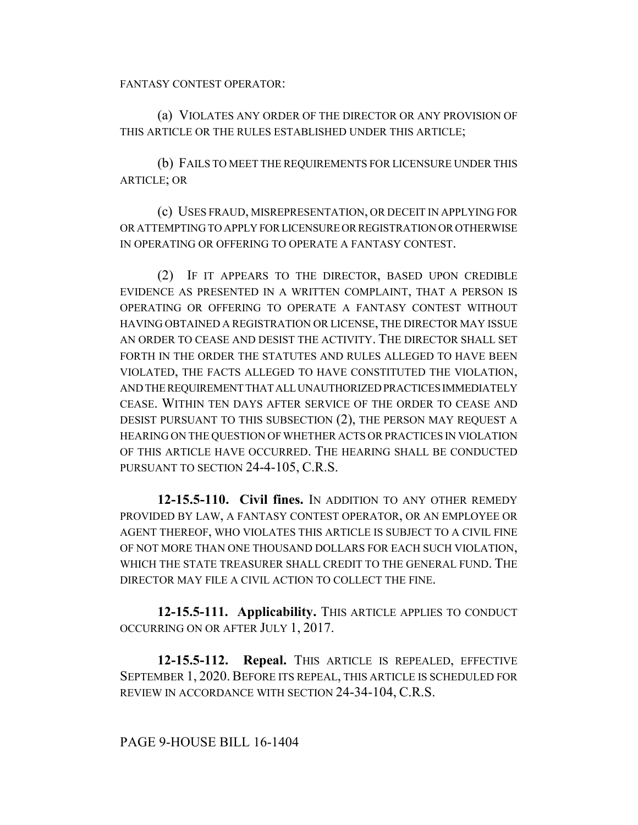FANTASY CONTEST OPERATOR:

(a) VIOLATES ANY ORDER OF THE DIRECTOR OR ANY PROVISION OF THIS ARTICLE OR THE RULES ESTABLISHED UNDER THIS ARTICLE;

(b) FAILS TO MEET THE REQUIREMENTS FOR LICENSURE UNDER THIS ARTICLE; OR

(c) USES FRAUD, MISREPRESENTATION, OR DECEIT IN APPLYING FOR OR ATTEMPTING TO APPLY FOR LICENSURE OR REGISTRATION OR OTHERWISE IN OPERATING OR OFFERING TO OPERATE A FANTASY CONTEST.

(2) IF IT APPEARS TO THE DIRECTOR, BASED UPON CREDIBLE EVIDENCE AS PRESENTED IN A WRITTEN COMPLAINT, THAT A PERSON IS OPERATING OR OFFERING TO OPERATE A FANTASY CONTEST WITHOUT HAVING OBTAINED A REGISTRATION OR LICENSE, THE DIRECTOR MAY ISSUE AN ORDER TO CEASE AND DESIST THE ACTIVITY. THE DIRECTOR SHALL SET FORTH IN THE ORDER THE STATUTES AND RULES ALLEGED TO HAVE BEEN VIOLATED, THE FACTS ALLEGED TO HAVE CONSTITUTED THE VIOLATION, AND THE REQUIREMENT THAT ALL UNAUTHORIZED PRACTICES IMMEDIATELY CEASE. WITHIN TEN DAYS AFTER SERVICE OF THE ORDER TO CEASE AND DESIST PURSUANT TO THIS SUBSECTION (2), THE PERSON MAY REQUEST A HEARING ON THE QUESTION OF WHETHER ACTS OR PRACTICES IN VIOLATION OF THIS ARTICLE HAVE OCCURRED. THE HEARING SHALL BE CONDUCTED PURSUANT TO SECTION 24-4-105, C.R.S.

**12-15.5-110. Civil fines.** IN ADDITION TO ANY OTHER REMEDY PROVIDED BY LAW, A FANTASY CONTEST OPERATOR, OR AN EMPLOYEE OR AGENT THEREOF, WHO VIOLATES THIS ARTICLE IS SUBJECT TO A CIVIL FINE OF NOT MORE THAN ONE THOUSAND DOLLARS FOR EACH SUCH VIOLATION, WHICH THE STATE TREASURER SHALL CREDIT TO THE GENERAL FUND. THE DIRECTOR MAY FILE A CIVIL ACTION TO COLLECT THE FINE.

**12-15.5-111. Applicability.** THIS ARTICLE APPLIES TO CONDUCT OCCURRING ON OR AFTER JULY 1, 2017.

**12-15.5-112. Repeal.** THIS ARTICLE IS REPEALED, EFFECTIVE SEPTEMBER 1, 2020. BEFORE ITS REPEAL, THIS ARTICLE IS SCHEDULED FOR REVIEW IN ACCORDANCE WITH SECTION 24-34-104, C.R.S.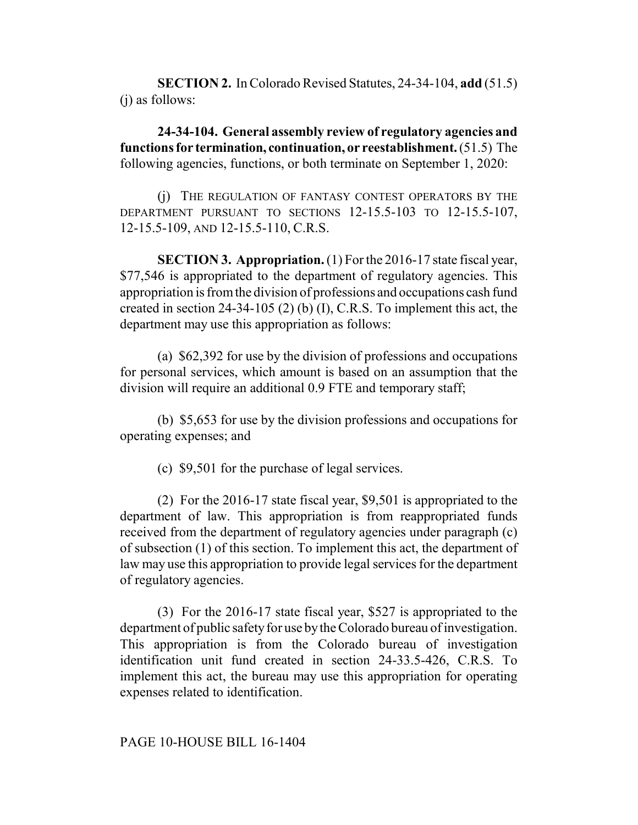**SECTION 2.** In Colorado Revised Statutes, 24-34-104, **add** (51.5) (j) as follows:

**24-34-104. General assembly review of regulatory agencies and functions for termination, continuation, or reestablishment.** (51.5) The following agencies, functions, or both terminate on September 1, 2020:

(j) THE REGULATION OF FANTASY CONTEST OPERATORS BY THE DEPARTMENT PURSUANT TO SECTIONS 12-15.5-103 TO 12-15.5-107, 12-15.5-109, AND 12-15.5-110, C.R.S.

**SECTION 3. Appropriation.** (1) For the 2016-17 state fiscal year, \$77,546 is appropriated to the department of regulatory agencies. This appropriation is from the division of professions and occupations cash fund created in section 24-34-105 (2) (b) (I), C.R.S. To implement this act, the department may use this appropriation as follows:

(a) \$62,392 for use by the division of professions and occupations for personal services, which amount is based on an assumption that the division will require an additional 0.9 FTE and temporary staff;

(b) \$5,653 for use by the division professions and occupations for operating expenses; and

(c) \$9,501 for the purchase of legal services.

(2) For the 2016-17 state fiscal year, \$9,501 is appropriated to the department of law. This appropriation is from reappropriated funds received from the department of regulatory agencies under paragraph (c) of subsection (1) of this section. To implement this act, the department of law may use this appropriation to provide legal services for the department of regulatory agencies.

(3) For the 2016-17 state fiscal year, \$527 is appropriated to the department of public safety for use by the Colorado bureau of investigation. This appropriation is from the Colorado bureau of investigation identification unit fund created in section 24-33.5-426, C.R.S. To implement this act, the bureau may use this appropriation for operating expenses related to identification.

# PAGE 10-HOUSE BILL 16-1404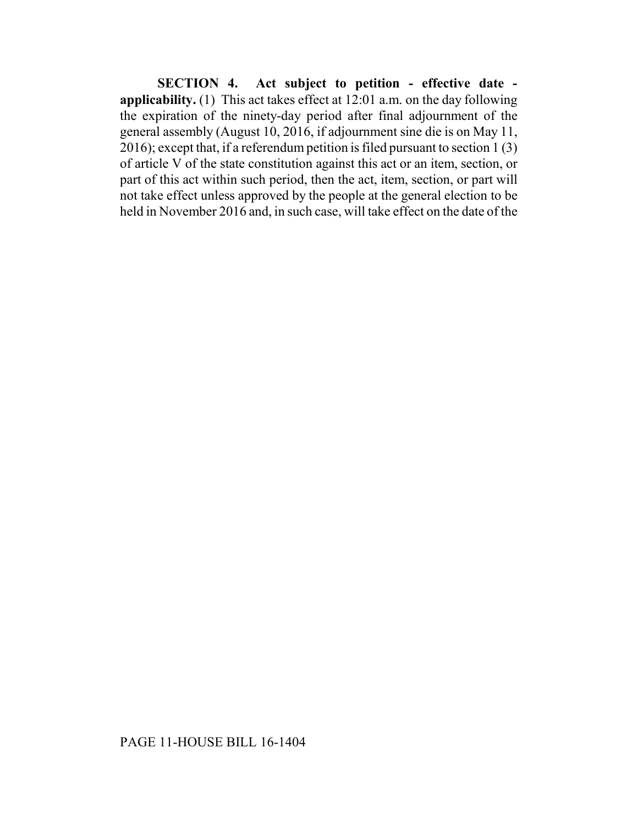**SECTION 4. Act subject to petition - effective date applicability.** (1) This act takes effect at 12:01 a.m. on the day following the expiration of the ninety-day period after final adjournment of the general assembly (August 10, 2016, if adjournment sine die is on May 11, 2016); except that, if a referendum petition is filed pursuant to section 1 (3) of article V of the state constitution against this act or an item, section, or part of this act within such period, then the act, item, section, or part will not take effect unless approved by the people at the general election to be held in November 2016 and, in such case, will take effect on the date of the